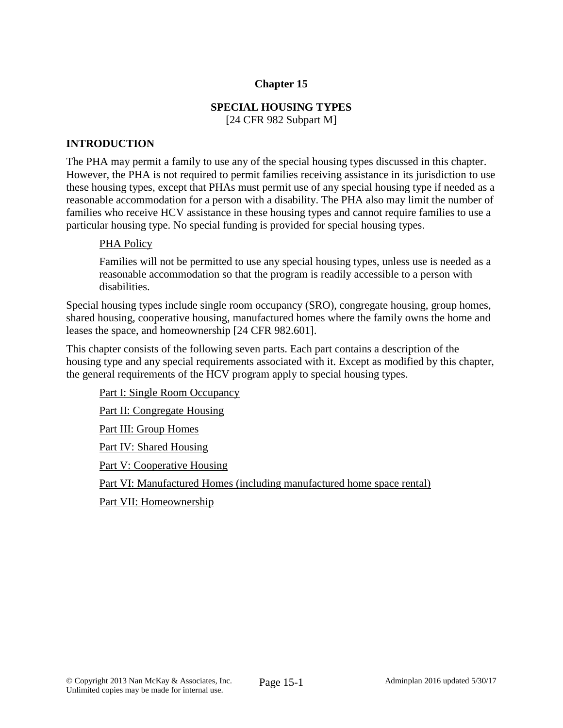## **Chapter 15**

# **SPECIAL HOUSING TYPES**

[24 CFR 982 Subpart M]

#### **INTRODUCTION**

The PHA may permit a family to use any of the special housing types discussed in this chapter. However, the PHA is not required to permit families receiving assistance in its jurisdiction to use these housing types, except that PHAs must permit use of any special housing type if needed as a reasonable accommodation for a person with a disability. The PHA also may limit the number of families who receive HCV assistance in these housing types and cannot require families to use a particular housing type. No special funding is provided for special housing types.

#### PHA Policy

Families will not be permitted to use any special housing types, unless use is needed as a reasonable accommodation so that the program is readily accessible to a person with disabilities.

Special housing types include single room occupancy (SRO), congregate housing, group homes, shared housing, cooperative housing, manufactured homes where the family owns the home and leases the space, and homeownership [24 CFR 982.601].

This chapter consists of the following seven parts. Each part contains a description of the housing type and any special requirements associated with it. Except as modified by this chapter, the general requirements of the HCV program apply to special housing types.

Part I: Single Room Occupancy Part II: Congregate Housing Part III: Group Homes Part IV: Shared Housing Part V: Cooperative Housing Part VI: Manufactured Homes (including manufactured home space rental) Part VII: Homeownership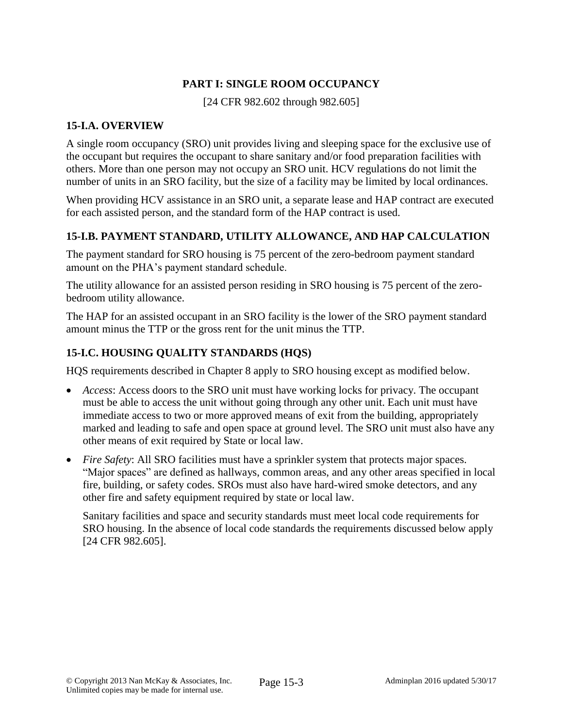# **PART I: SINGLE ROOM OCCUPANCY**

[24 CFR 982.602 through 982.605]

# **15-I.A. OVERVIEW**

A single room occupancy (SRO) unit provides living and sleeping space for the exclusive use of the occupant but requires the occupant to share sanitary and/or food preparation facilities with others. More than one person may not occupy an SRO unit. HCV regulations do not limit the number of units in an SRO facility, but the size of a facility may be limited by local ordinances.

When providing HCV assistance in an SRO unit, a separate lease and HAP contract are executed for each assisted person, and the standard form of the HAP contract is used.

# **15-I.B. PAYMENT STANDARD, UTILITY ALLOWANCE, AND HAP CALCULATION**

The payment standard for SRO housing is 75 percent of the zero-bedroom payment standard amount on the PHA's payment standard schedule.

The utility allowance for an assisted person residing in SRO housing is 75 percent of the zerobedroom utility allowance.

The HAP for an assisted occupant in an SRO facility is the lower of the SRO payment standard amount minus the TTP or the gross rent for the unit minus the TTP.

# **15-I.C. HOUSING QUALITY STANDARDS (HQS)**

HQS requirements described in Chapter 8 apply to SRO housing except as modified below.

- *Access*: Access doors to the SRO unit must have working locks for privacy. The occupant must be able to access the unit without going through any other unit. Each unit must have immediate access to two or more approved means of exit from the building, appropriately marked and leading to safe and open space at ground level. The SRO unit must also have any other means of exit required by State or local law.
- *Fire Safety*: All SRO facilities must have a sprinkler system that protects major spaces. "Major spaces" are defined as hallways, common areas, and any other areas specified in local fire, building, or safety codes. SROs must also have hard-wired smoke detectors, and any other fire and safety equipment required by state or local law.

Sanitary facilities and space and security standards must meet local code requirements for SRO housing. In the absence of local code standards the requirements discussed below apply [24 CFR 982.605].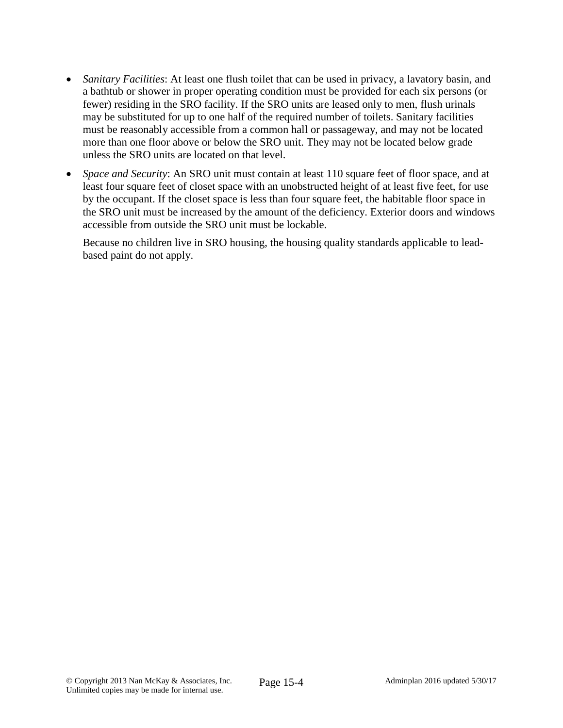- *Sanitary Facilities*: At least one flush toilet that can be used in privacy, a lavatory basin, and a bathtub or shower in proper operating condition must be provided for each six persons (or fewer) residing in the SRO facility. If the SRO units are leased only to men, flush urinals may be substituted for up to one half of the required number of toilets. Sanitary facilities must be reasonably accessible from a common hall or passageway, and may not be located more than one floor above or below the SRO unit. They may not be located below grade unless the SRO units are located on that level.
- *Space and Security*: An SRO unit must contain at least 110 square feet of floor space, and at least four square feet of closet space with an unobstructed height of at least five feet, for use by the occupant. If the closet space is less than four square feet, the habitable floor space in the SRO unit must be increased by the amount of the deficiency. Exterior doors and windows accessible from outside the SRO unit must be lockable.

Because no children live in SRO housing, the housing quality standards applicable to leadbased paint do not apply.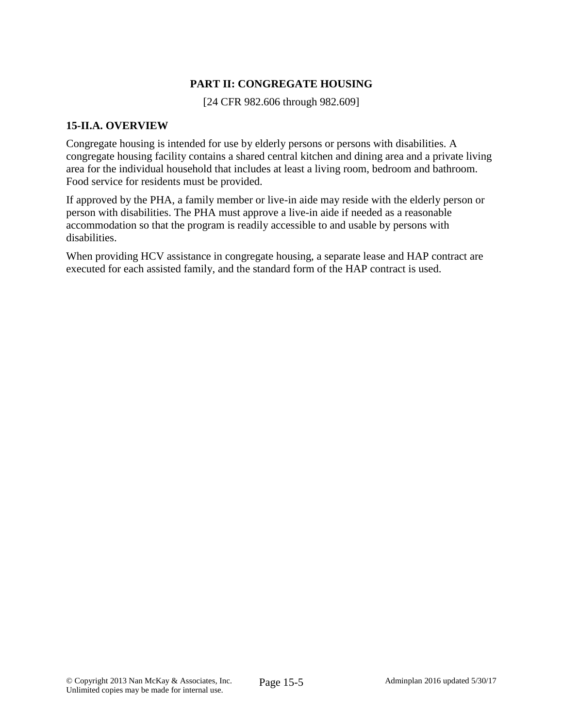# **PART II: CONGREGATE HOUSING**

[24 CFR 982.606 through 982.609]

### **15-II.A. OVERVIEW**

Congregate housing is intended for use by elderly persons or persons with disabilities. A congregate housing facility contains a shared central kitchen and dining area and a private living area for the individual household that includes at least a living room, bedroom and bathroom. Food service for residents must be provided.

If approved by the PHA, a family member or live-in aide may reside with the elderly person or person with disabilities. The PHA must approve a live-in aide if needed as a reasonable accommodation so that the program is readily accessible to and usable by persons with disabilities.

When providing HCV assistance in congregate housing, a separate lease and HAP contract are executed for each assisted family, and the standard form of the HAP contract is used.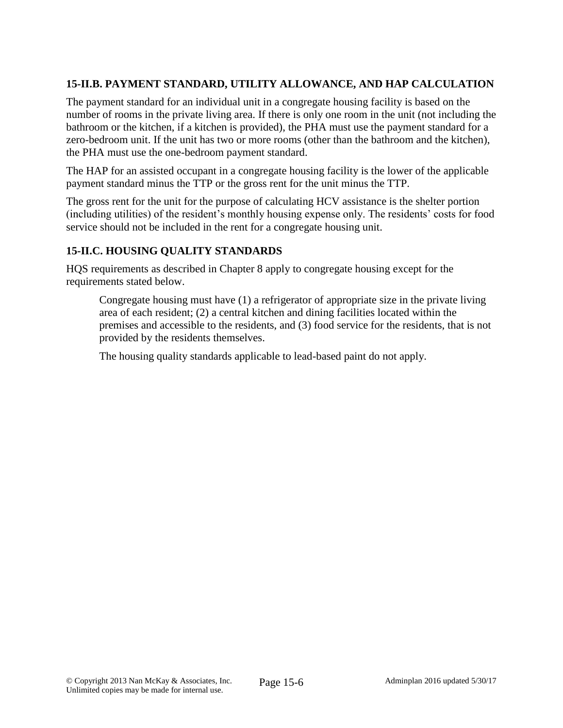# **15-II.B. PAYMENT STANDARD, UTILITY ALLOWANCE, AND HAP CALCULATION**

The payment standard for an individual unit in a congregate housing facility is based on the number of rooms in the private living area. If there is only one room in the unit (not including the bathroom or the kitchen, if a kitchen is provided), the PHA must use the payment standard for a zero-bedroom unit. If the unit has two or more rooms (other than the bathroom and the kitchen), the PHA must use the one-bedroom payment standard.

The HAP for an assisted occupant in a congregate housing facility is the lower of the applicable payment standard minus the TTP or the gross rent for the unit minus the TTP.

The gross rent for the unit for the purpose of calculating HCV assistance is the shelter portion (including utilities) of the resident's monthly housing expense only. The residents' costs for food service should not be included in the rent for a congregate housing unit.

# **15-II.C. HOUSING QUALITY STANDARDS**

HQS requirements as described in Chapter 8 apply to congregate housing except for the requirements stated below.

Congregate housing must have (1) a refrigerator of appropriate size in the private living area of each resident; (2) a central kitchen and dining facilities located within the premises and accessible to the residents, and (3) food service for the residents, that is not provided by the residents themselves.

The housing quality standards applicable to lead-based paint do not apply.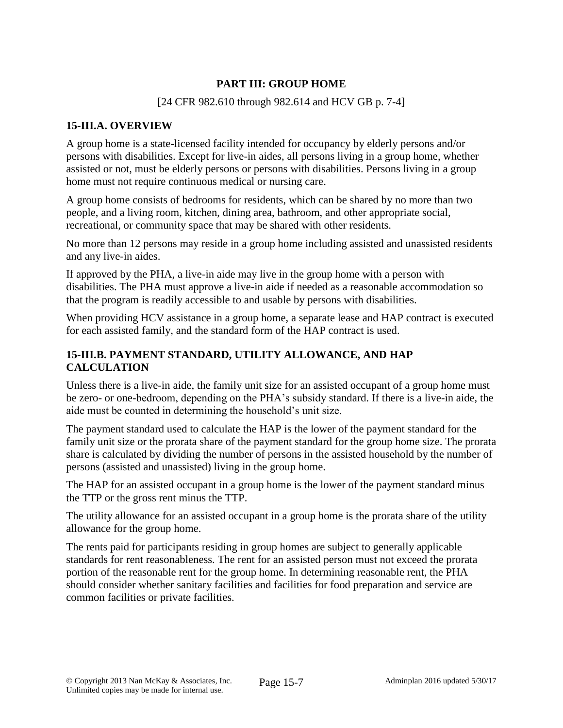# **PART III: GROUP HOME**

#### [24 CFR 982.610 through 982.614 and HCV GB p. 7-4]

### **15-III.A. OVERVIEW**

A group home is a state-licensed facility intended for occupancy by elderly persons and/or persons with disabilities. Except for live-in aides, all persons living in a group home, whether assisted or not, must be elderly persons or persons with disabilities. Persons living in a group home must not require continuous medical or nursing care.

A group home consists of bedrooms for residents, which can be shared by no more than two people, and a living room, kitchen, dining area, bathroom, and other appropriate social, recreational, or community space that may be shared with other residents.

No more than 12 persons may reside in a group home including assisted and unassisted residents and any live-in aides.

If approved by the PHA, a live-in aide may live in the group home with a person with disabilities. The PHA must approve a live-in aide if needed as a reasonable accommodation so that the program is readily accessible to and usable by persons with disabilities.

When providing HCV assistance in a group home, a separate lease and HAP contract is executed for each assisted family, and the standard form of the HAP contract is used.

## **15-III.B. PAYMENT STANDARD, UTILITY ALLOWANCE, AND HAP CALCULATION**

Unless there is a live-in aide, the family unit size for an assisted occupant of a group home must be zero- or one-bedroom, depending on the PHA's subsidy standard. If there is a live-in aide, the aide must be counted in determining the household's unit size.

The payment standard used to calculate the HAP is the lower of the payment standard for the family unit size or the prorata share of the payment standard for the group home size. The prorata share is calculated by dividing the number of persons in the assisted household by the number of persons (assisted and unassisted) living in the group home.

The HAP for an assisted occupant in a group home is the lower of the payment standard minus the TTP or the gross rent minus the TTP.

The utility allowance for an assisted occupant in a group home is the prorata share of the utility allowance for the group home.

The rents paid for participants residing in group homes are subject to generally applicable standards for rent reasonableness. The rent for an assisted person must not exceed the prorata portion of the reasonable rent for the group home. In determining reasonable rent, the PHA should consider whether sanitary facilities and facilities for food preparation and service are common facilities or private facilities.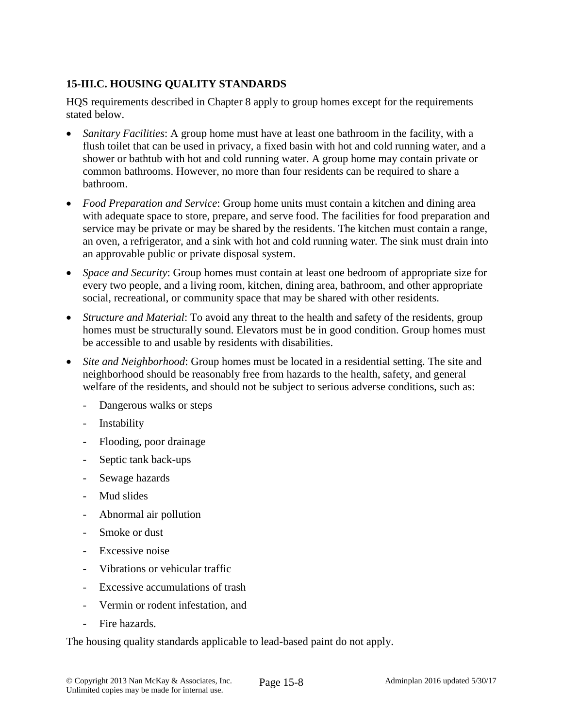# **15-III.C. HOUSING QUALITY STANDARDS**

HQS requirements described in Chapter 8 apply to group homes except for the requirements stated below.

- *Sanitary Facilities*: A group home must have at least one bathroom in the facility, with a flush toilet that can be used in privacy, a fixed basin with hot and cold running water, and a shower or bathtub with hot and cold running water. A group home may contain private or common bathrooms. However, no more than four residents can be required to share a bathroom.
- *Food Preparation and Service*: Group home units must contain a kitchen and dining area with adequate space to store, prepare, and serve food. The facilities for food preparation and service may be private or may be shared by the residents. The kitchen must contain a range, an oven, a refrigerator, and a sink with hot and cold running water. The sink must drain into an approvable public or private disposal system.
- *Space and Security*: Group homes must contain at least one bedroom of appropriate size for every two people, and a living room, kitchen, dining area, bathroom, and other appropriate social, recreational, or community space that may be shared with other residents.
- *Structure and Material*: To avoid any threat to the health and safety of the residents, group homes must be structurally sound. Elevators must be in good condition. Group homes must be accessible to and usable by residents with disabilities.
- *Site and Neighborhood*: Group homes must be located in a residential setting. The site and neighborhood should be reasonably free from hazards to the health, safety, and general welfare of the residents, and should not be subject to serious adverse conditions, such as:
	- Dangerous walks or steps
	- Instability
	- Flooding, poor drainage
	- Septic tank back-ups
	- Sewage hazards
	- Mud slides
	- Abnormal air pollution
	- Smoke or dust
	- Excessive noise
	- Vibrations or vehicular traffic
	- Excessive accumulations of trash
	- Vermin or rodent infestation, and
	- Fire hazards.

The housing quality standards applicable to lead-based paint do not apply.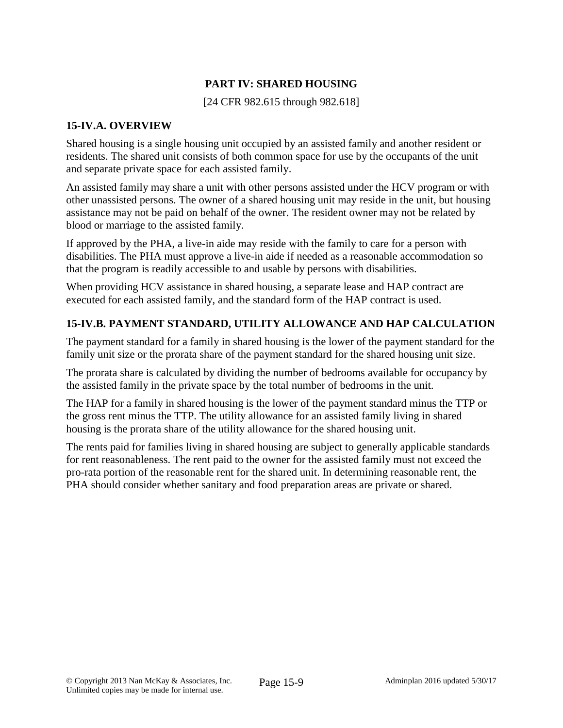# **PART IV: SHARED HOUSING**

[24 CFR 982.615 through 982.618]

#### **15-IV.A. OVERVIEW**

Shared housing is a single housing unit occupied by an assisted family and another resident or residents. The shared unit consists of both common space for use by the occupants of the unit and separate private space for each assisted family.

An assisted family may share a unit with other persons assisted under the HCV program or with other unassisted persons. The owner of a shared housing unit may reside in the unit, but housing assistance may not be paid on behalf of the owner. The resident owner may not be related by blood or marriage to the assisted family.

If approved by the PHA, a live-in aide may reside with the family to care for a person with disabilities. The PHA must approve a live-in aide if needed as a reasonable accommodation so that the program is readily accessible to and usable by persons with disabilities.

When providing HCV assistance in shared housing, a separate lease and HAP contract are executed for each assisted family, and the standard form of the HAP contract is used.

#### **15-IV.B. PAYMENT STANDARD, UTILITY ALLOWANCE AND HAP CALCULATION**

The payment standard for a family in shared housing is the lower of the payment standard for the family unit size or the prorata share of the payment standard for the shared housing unit size.

The prorata share is calculated by dividing the number of bedrooms available for occupancy by the assisted family in the private space by the total number of bedrooms in the unit.

The HAP for a family in shared housing is the lower of the payment standard minus the TTP or the gross rent minus the TTP. The utility allowance for an assisted family living in shared housing is the prorata share of the utility allowance for the shared housing unit.

The rents paid for families living in shared housing are subject to generally applicable standards for rent reasonableness. The rent paid to the owner for the assisted family must not exceed the pro-rata portion of the reasonable rent for the shared unit. In determining reasonable rent, the PHA should consider whether sanitary and food preparation areas are private or shared.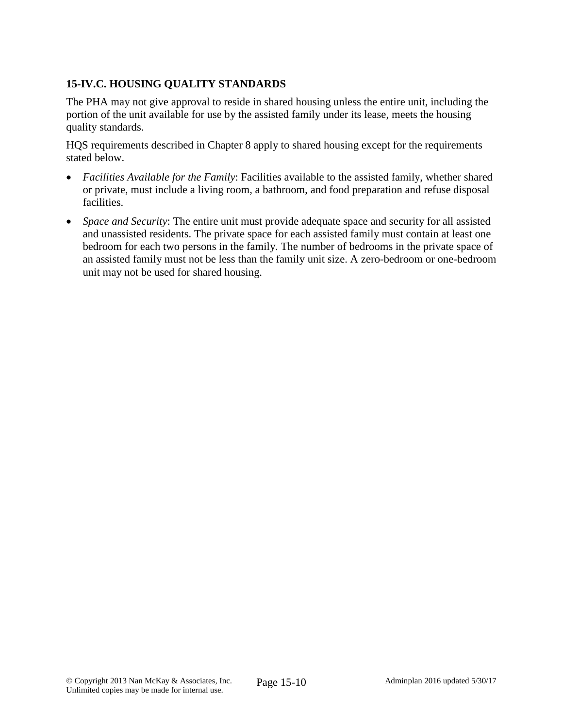# **15-IV.C. HOUSING QUALITY STANDARDS**

The PHA may not give approval to reside in shared housing unless the entire unit, including the portion of the unit available for use by the assisted family under its lease, meets the housing quality standards.

HQS requirements described in Chapter 8 apply to shared housing except for the requirements stated below.

- *Facilities Available for the Family*: Facilities available to the assisted family, whether shared or private, must include a living room, a bathroom, and food preparation and refuse disposal facilities.
- *Space and Security*: The entire unit must provide adequate space and security for all assisted and unassisted residents. The private space for each assisted family must contain at least one bedroom for each two persons in the family. The number of bedrooms in the private space of an assisted family must not be less than the family unit size. A zero-bedroom or one-bedroom unit may not be used for shared housing.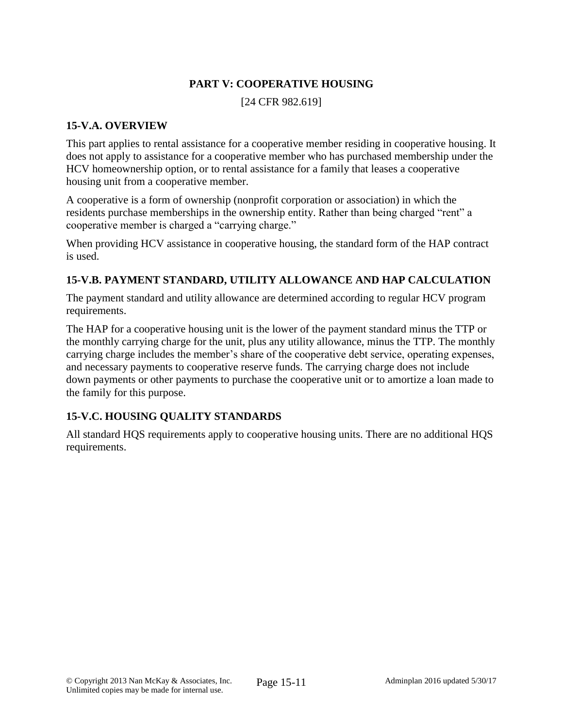# **PART V: COOPERATIVE HOUSING**

[24 CFR 982.619]

#### **15-V.A. OVERVIEW**

This part applies to rental assistance for a cooperative member residing in cooperative housing. It does not apply to assistance for a cooperative member who has purchased membership under the HCV homeownership option, or to rental assistance for a family that leases a cooperative housing unit from a cooperative member.

A cooperative is a form of ownership (nonprofit corporation or association) in which the residents purchase memberships in the ownership entity. Rather than being charged "rent" a cooperative member is charged a "carrying charge."

When providing HCV assistance in cooperative housing, the standard form of the HAP contract is used.

# **15-V.B. PAYMENT STANDARD, UTILITY ALLOWANCE AND HAP CALCULATION**

The payment standard and utility allowance are determined according to regular HCV program requirements.

The HAP for a cooperative housing unit is the lower of the payment standard minus the TTP or the monthly carrying charge for the unit, plus any utility allowance, minus the TTP. The monthly carrying charge includes the member's share of the cooperative debt service, operating expenses, and necessary payments to cooperative reserve funds. The carrying charge does not include down payments or other payments to purchase the cooperative unit or to amortize a loan made to the family for this purpose.

## **15-V.C. HOUSING QUALITY STANDARDS**

All standard HQS requirements apply to cooperative housing units. There are no additional HQS requirements.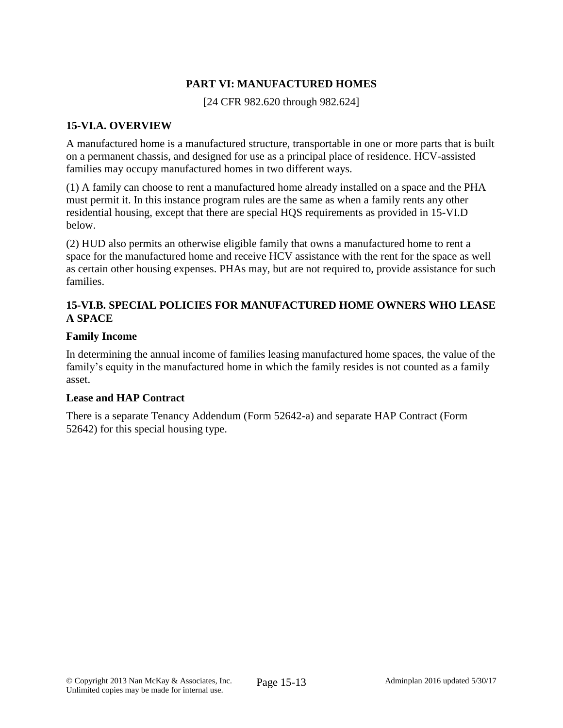## **PART VI: MANUFACTURED HOMES**

[24 CFR 982.620 through 982.624]

### **15-VI.A. OVERVIEW**

A manufactured home is a manufactured structure, transportable in one or more parts that is built on a permanent chassis, and designed for use as a principal place of residence. HCV-assisted families may occupy manufactured homes in two different ways.

(1) A family can choose to rent a manufactured home already installed on a space and the PHA must permit it. In this instance program rules are the same as when a family rents any other residential housing, except that there are special HQS requirements as provided in 15-VI.D below.

(2) HUD also permits an otherwise eligible family that owns a manufactured home to rent a space for the manufactured home and receive HCV assistance with the rent for the space as well as certain other housing expenses. PHAs may, but are not required to, provide assistance for such families.

## **15-VI.B. SPECIAL POLICIES FOR MANUFACTURED HOME OWNERS WHO LEASE A SPACE**

#### **Family Income**

In determining the annual income of families leasing manufactured home spaces, the value of the family's equity in the manufactured home in which the family resides is not counted as a family asset.

#### **Lease and HAP Contract**

There is a separate Tenancy Addendum (Form 52642-a) and separate HAP Contract (Form 52642) for this special housing type.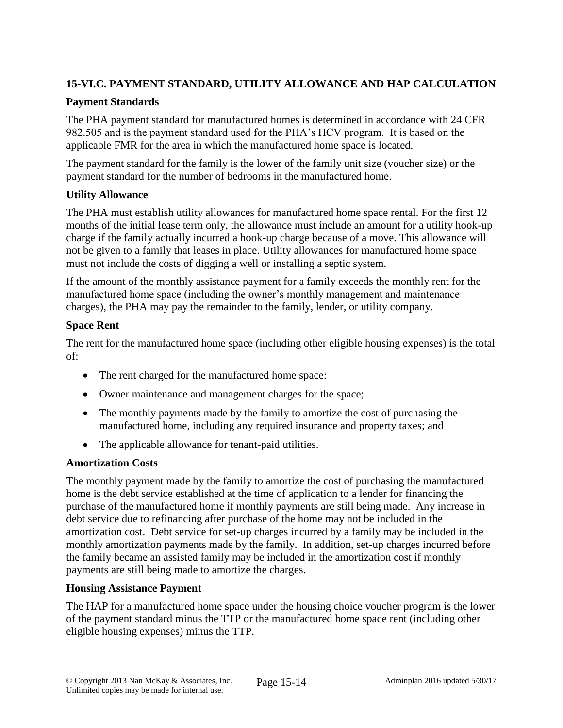# **15-VI.C. PAYMENT STANDARD, UTILITY ALLOWANCE AND HAP CALCULATION**

## **Payment Standards**

The PHA payment standard for manufactured homes is determined in accordance with 24 CFR 982.505 and is the payment standard used for the PHA's HCV program. It is based on the applicable FMR for the area in which the manufactured home space is located.

The payment standard for the family is the lower of the family unit size (voucher size) or the payment standard for the number of bedrooms in the manufactured home.

## **Utility Allowance**

The PHA must establish utility allowances for manufactured home space rental. For the first 12 months of the initial lease term only, the allowance must include an amount for a utility hook-up charge if the family actually incurred a hook-up charge because of a move. This allowance will not be given to a family that leases in place. Utility allowances for manufactured home space must not include the costs of digging a well or installing a septic system.

If the amount of the monthly assistance payment for a family exceeds the monthly rent for the manufactured home space (including the owner's monthly management and maintenance charges), the PHA may pay the remainder to the family, lender, or utility company.

# **Space Rent**

The rent for the manufactured home space (including other eligible housing expenses) is the total of:

- The rent charged for the manufactured home space:
- Owner maintenance and management charges for the space;
- The monthly payments made by the family to amortize the cost of purchasing the manufactured home, including any required insurance and property taxes; and
- The applicable allowance for tenant-paid utilities.

## **Amortization Costs**

The monthly payment made by the family to amortize the cost of purchasing the manufactured home is the debt service established at the time of application to a lender for financing the purchase of the manufactured home if monthly payments are still being made. Any increase in debt service due to refinancing after purchase of the home may not be included in the amortization cost. Debt service for set-up charges incurred by a family may be included in the monthly amortization payments made by the family. In addition, set-up charges incurred before the family became an assisted family may be included in the amortization cost if monthly payments are still being made to amortize the charges.

## **Housing Assistance Payment**

The HAP for a manufactured home space under the housing choice voucher program is the lower of the payment standard minus the TTP or the manufactured home space rent (including other eligible housing expenses) minus the TTP.